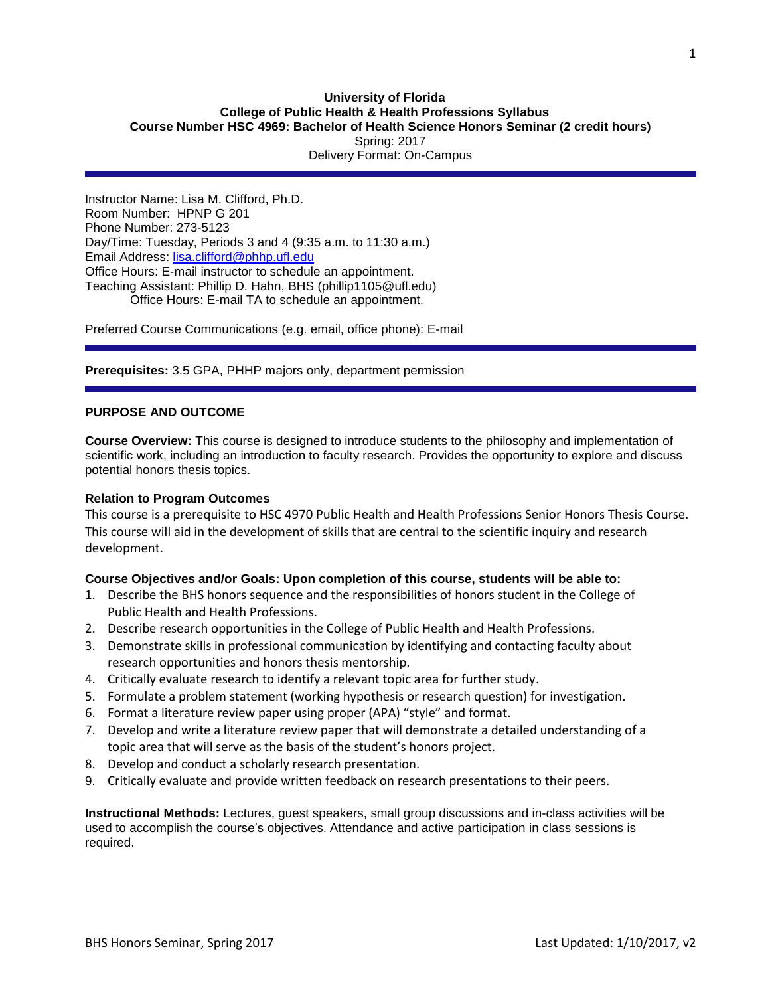# **University of Florida College of Public Health & Health Professions Syllabus Course Number HSC 4969: Bachelor of Health Science Honors Seminar (2 credit hours)** Spring: 2017 Delivery Format: On-Campus

Instructor Name: Lisa M. Clifford, Ph.D. Room Number: HPNP G 201 Phone Number: 273-5123 Day/Time: Tuesday, Periods 3 and 4 (9:35 a.m. to 11:30 a.m.) Email Address: [lisa.clifford@phhp.ufl.edu](mailto:lisa.clifford@phhp.ufl.edu) Office Hours: E-mail instructor to schedule an appointment. Teaching Assistant: Phillip D. Hahn, BHS (phillip1105@ufl.edu) Office Hours: E-mail TA to schedule an appointment.

Preferred Course Communications (e.g. email, office phone): E-mail

**Prerequisites:** 3.5 GPA, PHHP majors only, department permission

# **PURPOSE AND OUTCOME**

**Course Overview:** This course is designed to introduce students to the philosophy and implementation of scientific work, including an introduction to faculty research. Provides the opportunity to explore and discuss potential honors thesis topics.

## **Relation to Program Outcomes**

This course is a prerequisite to HSC 4970 Public Health and Health Professions Senior Honors Thesis Course. This course will aid in the development of skills that are central to the scientific inquiry and research development.

# **Course Objectives and/or Goals: Upon completion of this course, students will be able to:**

- 1. Describe the BHS honors sequence and the responsibilities of honors student in the College of Public Health and Health Professions.
- 2. Describe research opportunities in the College of Public Health and Health Professions.
- 3. Demonstrate skills in professional communication by identifying and contacting faculty about research opportunities and honors thesis mentorship.
- 4. Critically evaluate research to identify a relevant topic area for further study.
- 5. Formulate a problem statement (working hypothesis or research question) for investigation.
- 6. Format a literature review paper using proper (APA) "style" and format.
- 7. Develop and write a literature review paper that will demonstrate a detailed understanding of a topic area that will serve as the basis of the student's honors project.
- 8. Develop and conduct a scholarly research presentation.
- 9. Critically evaluate and provide written feedback on research presentations to their peers.

**Instructional Methods:** Lectures, guest speakers, small group discussions and in-class activities will be used to accomplish the course's objectives. Attendance and active participation in class sessions is required.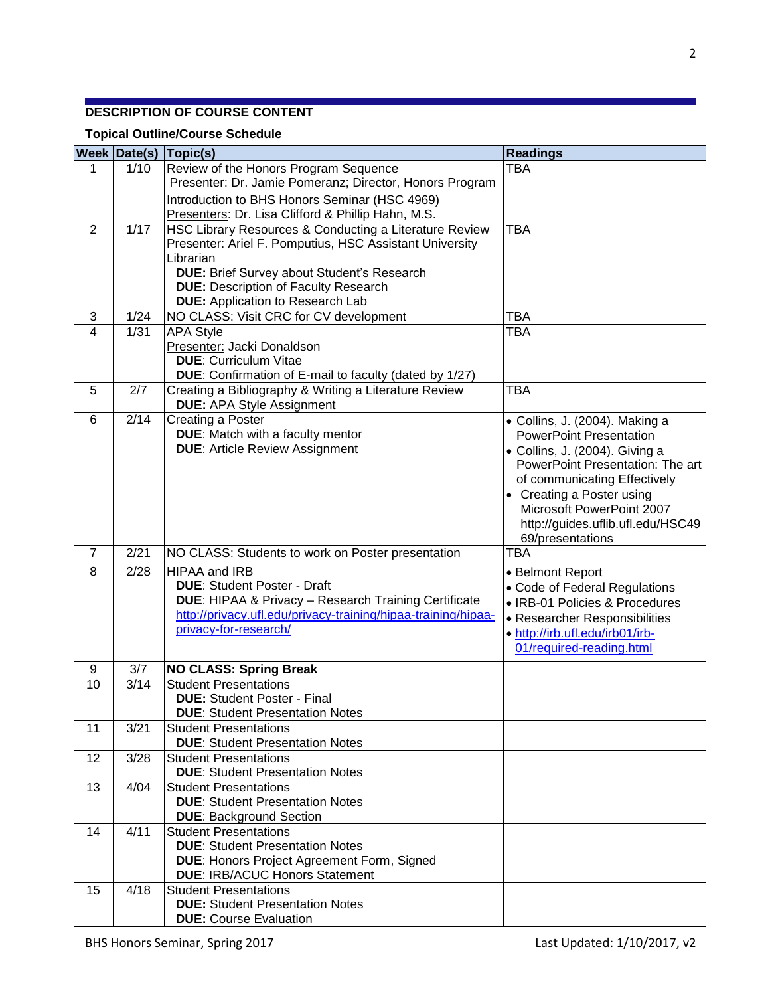# **DESCRIPTION OF COURSE CONTENT**

# **Topical Outline/Course Schedule**

|                | <b>Week Date(s)</b> | $\vert$ Topic(s)                                                                                 | <b>Readings</b>                                                    |
|----------------|---------------------|--------------------------------------------------------------------------------------------------|--------------------------------------------------------------------|
| 1              | 1/10                | Review of the Honors Program Sequence                                                            | <b>TBA</b>                                                         |
|                |                     | Presenter: Dr. Jamie Pomeranz; Director, Honors Program                                          |                                                                    |
|                |                     | Introduction to BHS Honors Seminar (HSC 4969)                                                    |                                                                    |
|                |                     | Presenters: Dr. Lisa Clifford & Phillip Hahn, M.S.                                               |                                                                    |
| $\overline{2}$ | 1/17                | HSC Library Resources & Conducting a Literature Review                                           | <b>TBA</b>                                                         |
|                |                     | <b>Presenter: Ariel F. Pomputius, HSC Assistant University</b>                                   |                                                                    |
|                |                     | Librarian                                                                                        |                                                                    |
|                |                     | <b>DUE:</b> Brief Survey about Student's Research<br><b>DUE: Description of Faculty Research</b> |                                                                    |
|                |                     | <b>DUE:</b> Application to Research Lab                                                          |                                                                    |
| 3              | 1/24                | NO CLASS: Visit CRC for CV development                                                           | <b>TBA</b>                                                         |
| $\overline{4}$ | 1/31                | <b>APA Style</b>                                                                                 | <b>TBA</b>                                                         |
|                |                     | Presenter: Jacki Donaldson                                                                       |                                                                    |
|                |                     | <b>DUE: Curriculum Vitae</b>                                                                     |                                                                    |
|                |                     | DUE: Confirmation of E-mail to faculty (dated by 1/27)                                           |                                                                    |
| 5              | 2/7                 | Creating a Bibliography & Writing a Literature Review                                            | <b>TBA</b>                                                         |
|                |                     | <b>DUE: APA Style Assignment</b>                                                                 |                                                                    |
| 6              | 2/14                | Creating a Poster                                                                                | • Collins, J. (2004). Making a                                     |
|                |                     | <b>DUE:</b> Match with a faculty mentor<br><b>DUE: Article Review Assignment</b>                 | <b>PowerPoint Presentation</b>                                     |
|                |                     |                                                                                                  | • Collins, J. (2004). Giving a<br>PowerPoint Presentation: The art |
|                |                     |                                                                                                  | of communicating Effectively                                       |
|                |                     |                                                                                                  | • Creating a Poster using                                          |
|                |                     |                                                                                                  | Microsoft PowerPoint 2007                                          |
|                |                     |                                                                                                  | http://guides.uflib.ufl.edu/HSC49                                  |
|                |                     |                                                                                                  | 69/presentations                                                   |
| $\overline{7}$ | 2/21                | NO CLASS: Students to work on Poster presentation                                                | <b>TBA</b>                                                         |
| 8              | 2/28                | <b>HIPAA and IRB</b>                                                                             | • Belmont Report                                                   |
|                |                     | <b>DUE: Student Poster - Draft</b>                                                               | • Code of Federal Regulations                                      |
|                |                     | <b>DUE: HIPAA &amp; Privacy - Research Training Certificate</b>                                  | • IRB-01 Policies & Procedures                                     |
|                |                     | http://privacy.ufl.edu/privacy-training/hipaa-training/hipaa-<br>privacy-for-research/           | • Researcher Responsibilities                                      |
|                |                     |                                                                                                  | • http://irb.ufl.edu/irb01/irb-                                    |
|                |                     |                                                                                                  | 01/required-reading.html                                           |
| 9              | 3/7                 | <b>NO CLASS: Spring Break</b>                                                                    |                                                                    |
| 10             | 3/14                | <b>Student Presentations</b>                                                                     |                                                                    |
|                |                     | <b>DUE: Student Poster - Final</b><br><b>DUE: Student Presentation Notes</b>                     |                                                                    |
| 11             | 3/21                | <b>Student Presentations</b>                                                                     |                                                                    |
|                |                     | <b>DUE: Student Presentation Notes</b>                                                           |                                                                    |
| 12             | 3/28                | <b>Student Presentations</b>                                                                     |                                                                    |
|                |                     | <b>DUE: Student Presentation Notes</b>                                                           |                                                                    |
| 13             | 4/04                | <b>Student Presentations</b>                                                                     |                                                                    |
|                |                     | <b>DUE: Student Presentation Notes</b>                                                           |                                                                    |
|                |                     | <b>DUE: Background Section</b>                                                                   |                                                                    |
| 14             | 4/11                | <b>Student Presentations</b>                                                                     |                                                                    |
|                |                     | <b>DUE: Student Presentation Notes</b>                                                           |                                                                    |
|                |                     | <b>DUE: Honors Project Agreement Form, Signed</b><br><b>DUE: IRB/ACUC Honors Statement</b>       |                                                                    |
| 15             | 4/18                | <b>Student Presentations</b>                                                                     |                                                                    |
|                |                     | <b>DUE: Student Presentation Notes</b>                                                           |                                                                    |
|                |                     | <b>DUE: Course Evaluation</b>                                                                    |                                                                    |
|                |                     |                                                                                                  |                                                                    |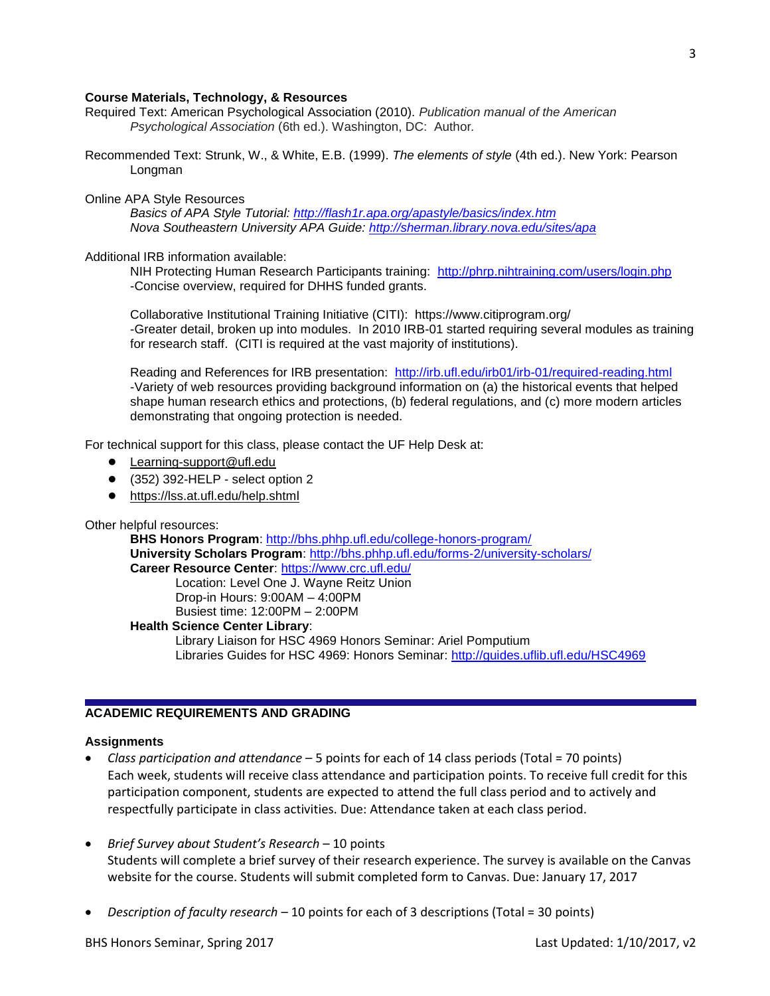### **Course Materials, Technology, & Resources**

- Required Text: American Psychological Association (2010). *Publication manual of the American Psychological Association* (6th ed.). Washington, DC: Author*.*
- Recommended Text: Strunk, W., & White, E.B. (1999). *The elements of style* (4th ed.). New York: Pearson Longman

#### Online APA Style Resources

*Basics of APA Style Tutorial: <http://flash1r.apa.org/apastyle/basics/index.htm> Nova Southeastern University APA Guide:<http://sherman.library.nova.edu/sites/apa>*

#### Additional IRB information available:

NIH Protecting Human Research Participants training: <http://phrp.nihtraining.com/users/login.php> -Concise overview, required for DHHS funded grants.

Collaborative Institutional Training Initiative (CITI): https://www.citiprogram.org/ -Greater detail, broken up into modules. In 2010 IRB-01 started requiring several modules as training for research staff. (CITI is required at the vast majority of institutions).

Reading and References for IRB presentation: <http://irb.ufl.edu/irb01/irb-01/required-reading.html> -Variety of web resources providing background information on (a) the historical events that helped shape human research ethics and protections, (b) federal regulations, and (c) more modern articles demonstrating that ongoing protection is needed.

For technical support for this class, please contact the UF Help Desk at:

- [Learning-support@ufl.edu](file:///C:/Users/hackg/Desktop/Learning-support@ufl.edu)
- (352) 392-HELP select option 2
- <https://lss.at.ufl.edu/help.shtml>

### Other helpful resources:

**BHS Honors Program**:<http://bhs.phhp.ufl.edu/college-honors-program/> **University Scholars Program**:<http://bhs.phhp.ufl.edu/forms-2/university-scholars/> **Career Resource Center**:<https://www.crc.ufl.edu/>

Location: Level One J. Wayne Reitz Union Drop-in Hours: 9:00AM – 4:00PM Busiest time: 12:00PM – 2:00PM

#### **Health Science Center Library**:

Library Liaison for HSC 4969 Honors Seminar: Ariel Pomputium Libraries Guides for HSC 4969: Honors Seminar:<http://guides.uflib.ufl.edu/HSC4969>

# **ACADEMIC REQUIREMENTS AND GRADING**

#### **Assignments**

- *Class participation and attendance*  5 points for each of 14 class periods (Total = 70 points) Each week, students will receive class attendance and participation points. To receive full credit for this participation component, students are expected to attend the full class period and to actively and respectfully participate in class activities. Due: Attendance taken at each class period.
- *Brief Survey about Student's Research* 10 points Students will complete a brief survey of their research experience. The survey is available on the Canvas website for the course. Students will submit completed form to Canvas. Due: January 17, 2017
- *Description of faculty research* 10 points for each of 3 descriptions (Total = 30 points)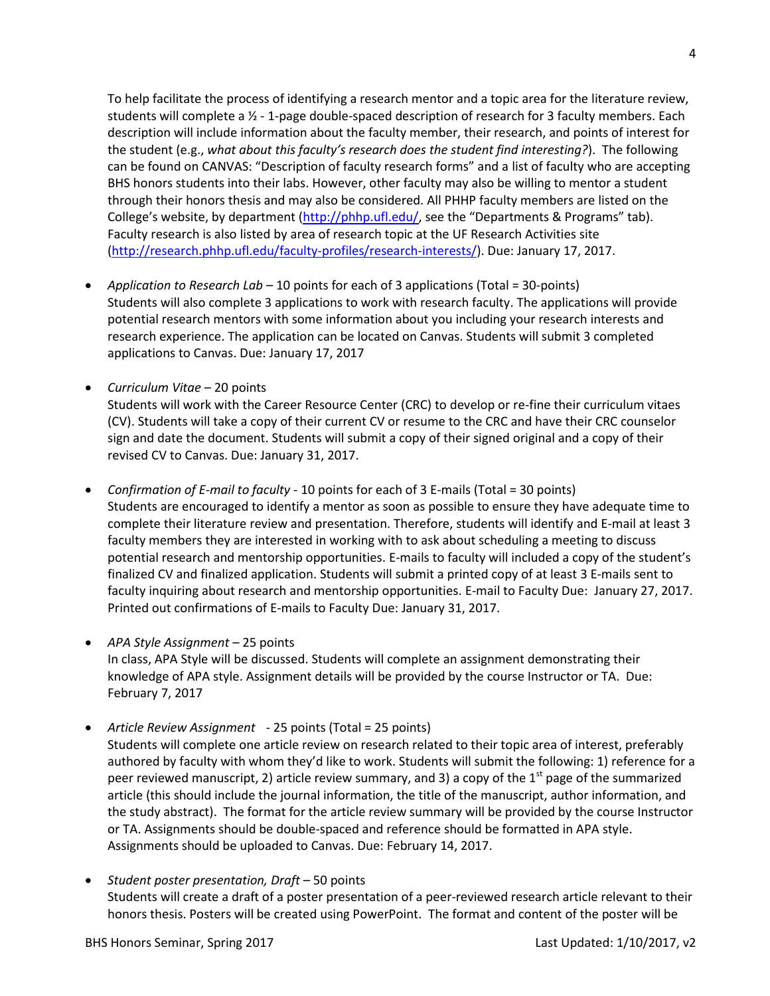To help facilitate the process of identifying a research mentor and a topic area for the literature review, students will complete a ½ - 1-page double-spaced description of research for 3 faculty members. Each description will include information about the faculty member, their research, and points of interest for the student (e.g., *what about this faculty's research does the student find interesting?*). The following can be found on CANVAS: "Description of faculty research forms" and a list of faculty who are accepting BHS honors students into their labs. However, other faculty may also be willing to mentor a student through their honors thesis and may also be considered. All PHHP faculty members are listed on the College's website, by department [\(http://phhp.ufl.edu/](http://phhp.ufl.edu/), see the "Departments & Programs" tab). Faculty research is also listed by area of research topic at the UF Research Activities site [\(http://research.phhp.ufl.edu/faculty-profiles/research-interests/\)](http://research.phhp.ufl.edu/faculty-profiles/research-interests/). Due: January 17, 2017.

- *Application to Research Lab* 10 points for each of 3 applications (Total = 30-points) Students will also complete 3 applications to work with research faculty. The applications will provide potential research mentors with some information about you including your research interests and research experience. The application can be located on Canvas. Students will submit 3 completed applications to Canvas. Due: January 17, 2017
- *Curriculum Vitae*  20 points Students will work with the Career Resource Center (CRC) to develop or re-fine their curriculum vitaes (CV). Students will take a copy of their current CV or resume to the CRC and have their CRC counselor sign and date the document. Students will submit a copy of their signed original and a copy of their revised CV to Canvas. Due: January 31, 2017.
- *Confirmation of E-mail to faculty* 10 points for each of 3 E-mails (Total = 30 points) Students are encouraged to identify a mentor as soon as possible to ensure they have adequate time to complete their literature review and presentation. Therefore, students will identify and E-mail at least 3 faculty members they are interested in working with to ask about scheduling a meeting to discuss potential research and mentorship opportunities. E-mails to faculty will included a copy of the student's finalized CV and finalized application. Students will submit a printed copy of at least 3 E-mails sent to faculty inquiring about research and mentorship opportunities. E-mail to Faculty Due: January 27, 2017. Printed out confirmations of E-mails to Faculty Due: January 31, 2017.
- *APA Style Assignment* 25 points In class, APA Style will be discussed. Students will complete an assignment demonstrating their knowledge of APA style. Assignment details will be provided by the course Instructor or TA. Due: February 7, 2017
- *Article Review Assignment* 25 points (Total = 25 points)

Students will complete one article review on research related to their topic area of interest, preferably authored by faculty with whom they'd like to work. Students will submit the following: 1) reference for a peer reviewed manuscript, 2) article review summary, and 3) a copy of the 1<sup>st</sup> page of the summarized article (this should include the journal information, the title of the manuscript, author information, and the study abstract). The format for the article review summary will be provided by the course Instructor or TA. Assignments should be double-spaced and reference should be formatted in APA style. Assignments should be uploaded to Canvas. Due: February 14, 2017.

 *Student poster presentation, Draft* – 50 points Students will create a draft of a poster presentation of a peer-reviewed research article relevant to their honors thesis. Posters will be created using PowerPoint. The format and content of the poster will be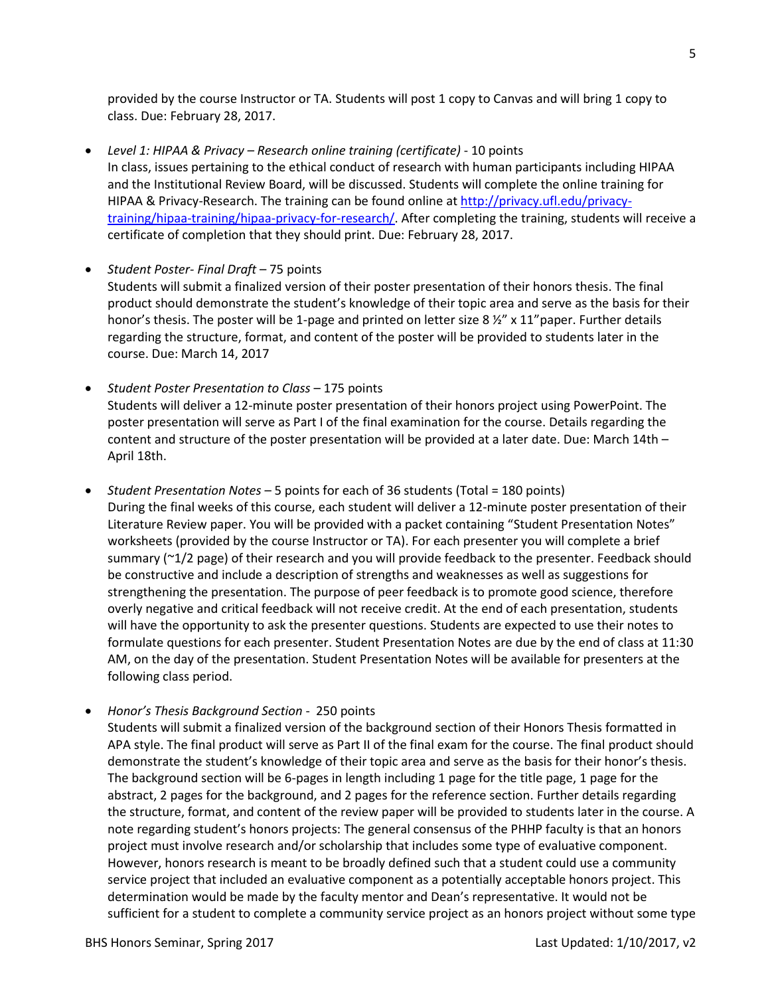provided by the course Instructor or TA. Students will post 1 copy to Canvas and will bring 1 copy to class. Due: February 28, 2017.

- *Level 1: HIPAA & Privacy – Research online training (certificate)* 10 points In class, issues pertaining to the ethical conduct of research with human participants including HIPAA and the Institutional Review Board, will be discussed. Students will complete the online training for HIPAA & Privacy-Research. The training can be found online at [http://privacy.ufl.edu/privacy](http://privacy.ufl.edu/privacy-training/hipaa-training/hipaa-privacy-for-research/)[training/hipaa-training/hipaa-privacy-for-research/.](http://privacy.ufl.edu/privacy-training/hipaa-training/hipaa-privacy-for-research/) After completing the training, students will receive a certificate of completion that they should print. Due: February 28, 2017.
- *Student Poster- Final Draft* 75 points Students will submit a finalized version of their poster presentation of their honors thesis. The final product should demonstrate the student's knowledge of their topic area and serve as the basis for their honor's thesis. The poster will be 1-page and printed on letter size 8  $\frac{1}{2}$ " x 11" paper. Further details regarding the structure, format, and content of the poster will be provided to students later in the course. Due: March 14, 2017
- *Student Poster Presentation to Class* 175 points Students will deliver a 12-minute poster presentation of their honors project using PowerPoint. The poster presentation will serve as Part I of the final examination for the course. Details regarding the content and structure of the poster presentation will be provided at a later date. Due: March 14th – April 18th.
- *Student Presentation Notes* 5 points for each of 36 students (Total = 180 points) During the final weeks of this course, each student will deliver a 12-minute poster presentation of their Literature Review paper. You will be provided with a packet containing "Student Presentation Notes" worksheets (provided by the course Instructor or TA). For each presenter you will complete a brief summary (~1/2 page) of their research and you will provide feedback to the presenter. Feedback should be constructive and include a description of strengths and weaknesses as well as suggestions for strengthening the presentation. The purpose of peer feedback is to promote good science, therefore overly negative and critical feedback will not receive credit. At the end of each presentation, students will have the opportunity to ask the presenter questions. Students are expected to use their notes to formulate questions for each presenter. Student Presentation Notes are due by the end of class at 11:30 AM, on the day of the presentation. Student Presentation Notes will be available for presenters at the following class period.
- *Honor's Thesis Background Section*  250 points
	- Students will submit a finalized version of the background section of their Honors Thesis formatted in APA style. The final product will serve as Part II of the final exam for the course. The final product should demonstrate the student's knowledge of their topic area and serve as the basis for their honor's thesis. The background section will be 6-pages in length including 1 page for the title page, 1 page for the abstract, 2 pages for the background, and 2 pages for the reference section. Further details regarding the structure, format, and content of the review paper will be provided to students later in the course. A note regarding student's honors projects: The general consensus of the PHHP faculty is that an honors project must involve research and/or scholarship that includes some type of evaluative component. However, honors research is meant to be broadly defined such that a student could use a community service project that included an evaluative component as a potentially acceptable honors project. This determination would be made by the faculty mentor and Dean's representative. It would not be sufficient for a student to complete a community service project as an honors project without some type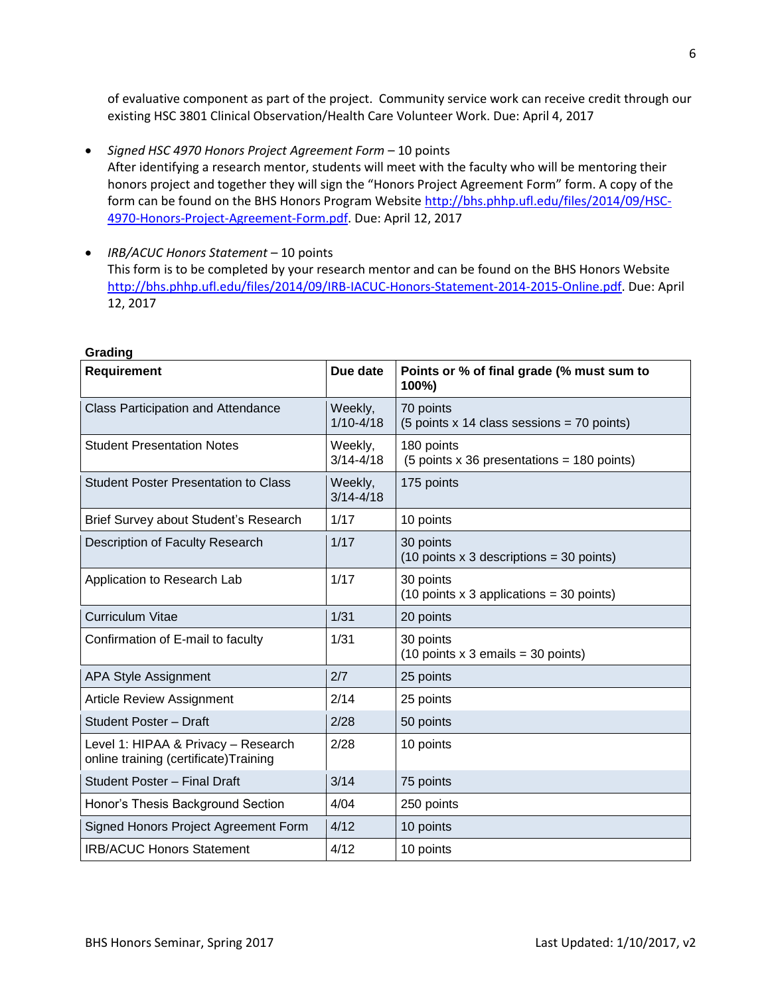of evaluative component as part of the project. Community service work can receive credit through our existing HSC 3801 Clinical Observation/Health Care Volunteer Work. Due: April 4, 2017

- *Signed HSC 4970 Honors Project Agreement Form*  10 points After identifying a research mentor, students will meet with the faculty who will be mentoring their honors project and together they will sign the "Honors Project Agreement Form" form. A copy of the form can be found on the BHS Honors Program Website [http://bhs.phhp.ufl.edu/files/2014/09/HSC-](http://bhs.phhp.ufl.edu/files/2014/09/HSC-4970-Honors-Project-Agreement-Form.pdf)[4970-Honors-Project-Agreement-Form.pdf.](http://bhs.phhp.ufl.edu/files/2014/09/HSC-4970-Honors-Project-Agreement-Form.pdf) Due: April 12, 2017
- *IRB/ACUC Honors Statement* 10 points This form is to be completed by your research mentor and can be found on the BHS Honors Website [http://bhs.phhp.ufl.edu/files/2014/09/IRB-IACUC-Honors-Statement-2014-2015-Online.pdf.](http://bhs.phhp.ufl.edu/files/2014/09/IRB-IACUC-Honors-Statement-2014-2015-Online.pdf) Due: April 12, 2017

| <b>Requirement</b>                                                            | Due date                 | Points or % of final grade (% must sum to<br>100%)                                   |
|-------------------------------------------------------------------------------|--------------------------|--------------------------------------------------------------------------------------|
| <b>Class Participation and Attendance</b>                                     | Weekly,<br>$1/10 - 4/18$ | 70 points<br>$(5$ points x 14 class sessions = 70 points)                            |
| <b>Student Presentation Notes</b>                                             | Weekly,<br>$3/14 - 4/18$ | 180 points<br>$(5$ points x 36 presentations = 180 points)                           |
| <b>Student Poster Presentation to Class</b>                                   | Weekly,<br>$3/14 - 4/18$ | 175 points                                                                           |
| Brief Survey about Student's Research                                         | 1/17                     | 10 points                                                                            |
| Description of Faculty Research                                               | 1/17                     | 30 points<br>$(10 \text{ points} \times 3 \text{ descriptions} = 30 \text{ points})$ |
| Application to Research Lab                                                   | 1/17                     | 30 points<br>$(10 \text{ points} \times 3 \text{ applications} = 30 \text{ points})$ |
| <b>Curriculum Vitae</b>                                                       | 1/31                     | 20 points                                                                            |
| Confirmation of E-mail to faculty                                             | 1/31                     | 30 points<br>$(10 \text{ points} \times 3 \text{ emails} = 30 \text{ points})$       |
| <b>APA Style Assignment</b>                                                   | 2/7                      | 25 points                                                                            |
| <b>Article Review Assignment</b>                                              | 2/14                     | 25 points                                                                            |
| Student Poster - Draft                                                        | 2/28                     | 50 points                                                                            |
| Level 1: HIPAA & Privacy - Research<br>online training (certificate) Training | 2/28                     | 10 points                                                                            |
| Student Poster - Final Draft                                                  | 3/14                     | 75 points                                                                            |
| Honor's Thesis Background Section                                             | 4/04                     | 250 points                                                                           |
| Signed Honors Project Agreement Form                                          | 4/12                     | 10 points                                                                            |
| <b>IRB/ACUC Honors Statement</b>                                              | 4/12                     | 10 points                                                                            |

### **Grading**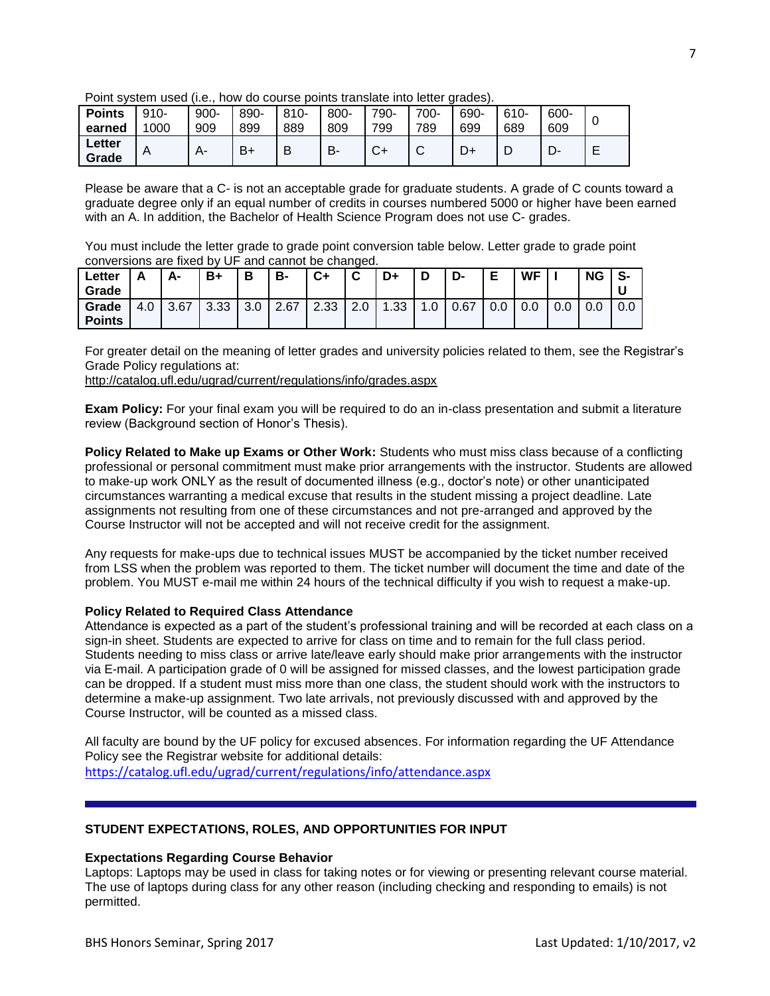|                 |        |      |      | <u>F UITIL SYSICITI USCU (I.C., TIUW UU CUUISC DUITIS ITALISIALE IITIU ICILCI UTAUCS).</u><br>600-<br>610-<br>$810 -$<br>690-<br>700-<br>800-<br>790-<br>889<br>809<br>799<br>789<br>699<br>689<br>609<br>$C+$<br>в-<br>Е<br>B<br>ັ |  |  |  |  |  |  |
|-----------------|--------|------|------|-------------------------------------------------------------------------------------------------------------------------------------------------------------------------------------------------------------------------------------|--|--|--|--|--|--|
| <b>Points</b>   | $910-$ | 900- | 890- |                                                                                                                                                                                                                                     |  |  |  |  |  |  |
| earned          | 1000   | 909  | 899  |                                                                                                                                                                                                                                     |  |  |  |  |  |  |
| Letter<br>Grade |        | A-   | B+   |                                                                                                                                                                                                                                     |  |  |  |  |  |  |

Point system used (i.e., how do course points translate into letter grades).

Please be aware that a C- is not an acceptable grade for graduate students. A grade of C counts toward a graduate degree only if an equal number of credits in courses numbered 5000 or higher have been earned with an A. In addition, the Bachelor of Health Science Program does not use C- grades.

You must include the letter grade to grade point conversion table below. Letter grade to grade point conversions are fixed by UF and cannot be changed.

| Letter<br>Grade        | r.  | А-   | B+   | B               | B-   | $C+$ | $\sim$<br>v | D+               | D    | D-   | Е<br>- | WF         |     | <b>NG</b> | S-  |
|------------------------|-----|------|------|-----------------|------|------|-------------|------------------|------|------|--------|------------|-----|-----------|-----|
| Grade<br><b>Points</b> | 4.0 | 3.67 | 3.33 | $\Omega$<br>v.v | 2.67 | 2.33 | ⌒<br>z.u    | .33 <sub>1</sub> | 0. ا | 0.67 | 0.0    | ∩ ∩<br>v.v | 0.0 | 0.0       | 0.0 |

For greater detail on the meaning of letter grades and university policies related to them, see the Registrar's Grade Policy regulations at:

<http://catalog.ufl.edu/ugrad/current/regulations/info/grades.aspx>

**Exam Policy:** For your final exam you will be required to do an in-class presentation and submit a literature review (Background section of Honor's Thesis).

**Policy Related to Make up Exams or Other Work:** Students who must miss class because of a conflicting professional or personal commitment must make prior arrangements with the instructor. Students are allowed to make-up work ONLY as the result of documented illness (e.g., doctor's note) or other unanticipated circumstances warranting a medical excuse that results in the student missing a project deadline. Late assignments not resulting from one of these circumstances and not pre-arranged and approved by the Course Instructor will not be accepted and will not receive credit for the assignment.

Any requests for make-ups due to technical issues MUST be accompanied by the ticket number received from LSS when the problem was reported to them. The ticket number will document the time and date of the problem. You MUST e-mail me within 24 hours of the technical difficulty if you wish to request a make-up.

# **Policy Related to Required Class Attendance**

Attendance is expected as a part of the student's professional training and will be recorded at each class on a sign-in sheet. Students are expected to arrive for class on time and to remain for the full class period. Students needing to miss class or arrive late/leave early should make prior arrangements with the instructor via E-mail. A participation grade of 0 will be assigned for missed classes, and the lowest participation grade can be dropped. If a student must miss more than one class, the student should work with the instructors to determine a make-up assignment. Two late arrivals, not previously discussed with and approved by the Course Instructor, will be counted as a missed class.

All faculty are bound by the UF policy for excused absences. For information regarding the UF Attendance Policy see the Registrar website for additional details: <https://catalog.ufl.edu/ugrad/current/regulations/info/attendance.aspx>

# **STUDENT EXPECTATIONS, ROLES, AND OPPORTUNITIES FOR INPUT**

#### **Expectations Regarding Course Behavior**

Laptops: Laptops may be used in class for taking notes or for viewing or presenting relevant course material. The use of laptops during class for any other reason (including checking and responding to emails) is not permitted.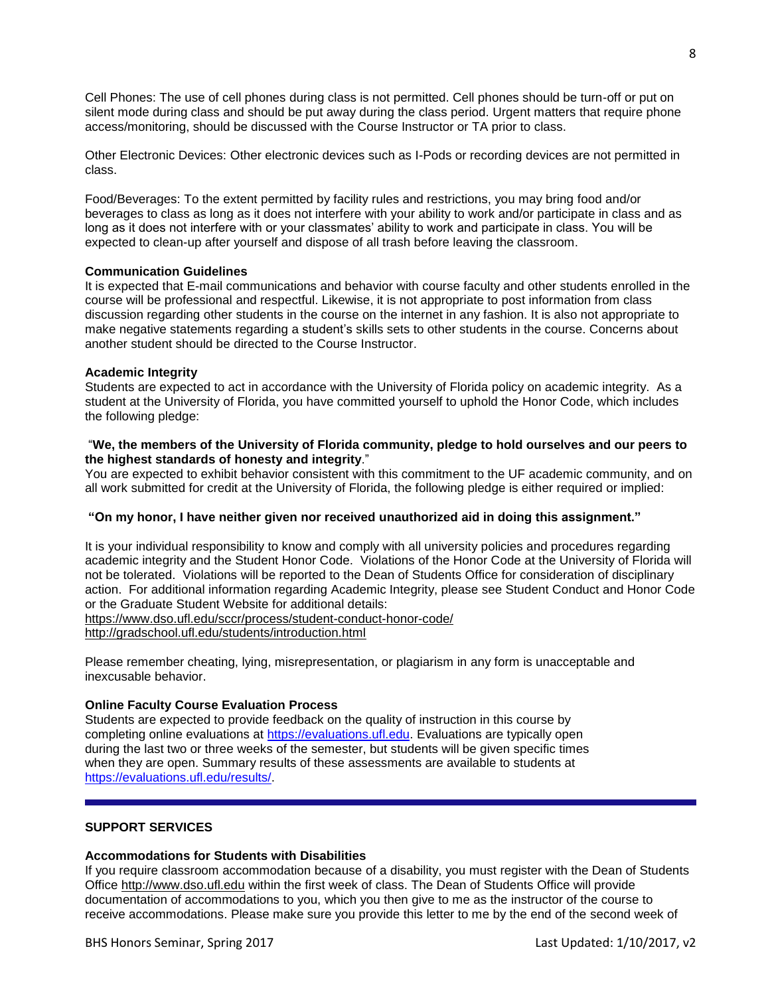Cell Phones: The use of cell phones during class is not permitted. Cell phones should be turn-off or put on silent mode during class and should be put away during the class period. Urgent matters that require phone access/monitoring, should be discussed with the Course Instructor or TA prior to class.

Other Electronic Devices: Other electronic devices such as I-Pods or recording devices are not permitted in class.

Food/Beverages: To the extent permitted by facility rules and restrictions, you may bring food and/or beverages to class as long as it does not interfere with your ability to work and/or participate in class and as long as it does not interfere with or your classmates' ability to work and participate in class. You will be expected to clean-up after yourself and dispose of all trash before leaving the classroom.

### **Communication Guidelines**

It is expected that E-mail communications and behavior with course faculty and other students enrolled in the course will be professional and respectful. Likewise, it is not appropriate to post information from class discussion regarding other students in the course on the internet in any fashion. It is also not appropriate to make negative statements regarding a student's skills sets to other students in the course. Concerns about another student should be directed to the Course Instructor.

#### **Academic Integrity**

Students are expected to act in accordance with the University of Florida policy on academic integrity. As a student at the University of Florida, you have committed yourself to uphold the Honor Code, which includes the following pledge:

## "**We, the members of the University of Florida community, pledge to hold ourselves and our peers to the highest standards of honesty and integrity**."

You are expected to exhibit behavior consistent with this commitment to the UF academic community, and on all work submitted for credit at the University of Florida, the following pledge is either required or implied:

# **"On my honor, I have neither given nor received unauthorized aid in doing this assignment."**

It is your individual responsibility to know and comply with all university policies and procedures regarding academic integrity and the Student Honor Code. Violations of the Honor Code at the University of Florida will not be tolerated. Violations will be reported to the Dean of Students Office for consideration of disciplinary action. For additional information regarding Academic Integrity, please see Student Conduct and Honor Code or the Graduate Student Website for additional details:

<https://www.dso.ufl.edu/sccr/process/student-conduct-honor-code/>

<http://gradschool.ufl.edu/students/introduction.html>

Please remember cheating, lying, misrepresentation, or plagiarism in any form is unacceptable and inexcusable behavior.

# **Online Faculty Course Evaluation Process**

Students are expected to provide feedback on the quality of instruction in this course by completing online evaluations at [https://evaluations.ufl.edu.](https://evaluations.ufl.edu/) Evaluations are typically open during the last two or three weeks of the semester, but students will be given specific times when they are open. Summary results of these assessments are available to students at [https://evaluations.ufl.edu/results/.](https://evaluations.ufl.edu/results/)

#### **SUPPORT SERVICES**

#### **Accommodations for Students with Disabilities**

If you require classroom accommodation because of a disability, you must register with the Dean of Students Office [http://www.dso.ufl.edu](http://www.dso.ufl.edu/) within the first week of class. The Dean of Students Office will provide documentation of accommodations to you, which you then give to me as the instructor of the course to receive accommodations. Please make sure you provide this letter to me by the end of the second week of